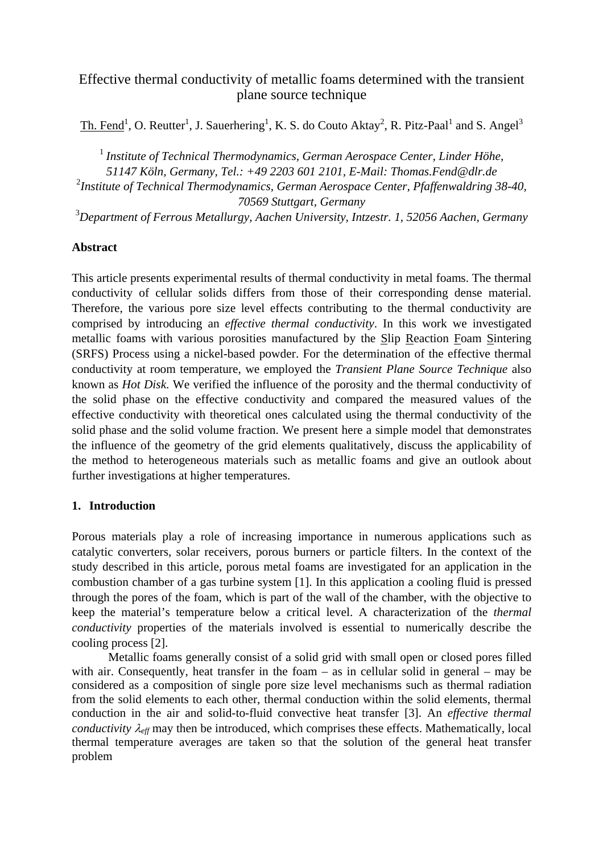# Effective thermal conductivity of metallic foams determined with the transient plane source technique

Th. Fend<sup>1</sup>, O. Reutter<sup>1</sup>, J. Sauerhering<sup>1</sup>, K. S. do Couto Aktay<sup>2</sup>, R. Pitz-Paal<sup>1</sup> and S. Angel<sup>3</sup>

<sup>1</sup> Institute of Technical Thermodynamics, German Aerospace Center, Linder Höhe,

*51147 Köln, Germany, Tel.: +49 2203 601 2101, E-Mail: Thomas.Fend@dlr.de* 

2 *Institute of Technical Thermodynamics, German Aerospace Center, Pfaffenwaldring 38-40, 70569 Stuttgart, Germany* 

3 *Department of Ferrous Metallurgy, Aachen University, Intzestr. 1, 52056 Aachen, Germany* 

## **Abstract**

This article presents experimental results of thermal conductivity in metal foams. The thermal conductivity of cellular solids differs from those of their corresponding dense material. Therefore, the various pore size level effects contributing to the thermal conductivity are comprised by introducing an *effective thermal conductivity*. In this work we investigated metallic foams with various porosities manufactured by the Slip Reaction Foam Sintering (SRFS) Process using a nickel-based powder. For the determination of the effective thermal conductivity at room temperature, we employed the *Transient Plane Source Technique* also known as *Hot Disk*. We verified the influence of the porosity and the thermal conductivity of the solid phase on the effective conductivity and compared the measured values of the effective conductivity with theoretical ones calculated using the thermal conductivity of the solid phase and the solid volume fraction. We present here a simple model that demonstrates the influence of the geometry of the grid elements qualitatively, discuss the applicability of the method to heterogeneous materials such as metallic foams and give an outlook about further investigations at higher temperatures.

## **1. Introduction**

Porous materials play a role of increasing importance in numerous applications such as catalytic converters, solar receivers, porous burners or particle filters. In the context of the study described in this article, porous metal foams are investigated for an application in the combustion chamber of a gas turbine system [1]. In this application a cooling fluid is pressed through the pores of the foam, which is part of the wall of the chamber, with the objective to keep the material's temperature below a critical level. A characterization of the *thermal conductivity* properties of the materials involved is essential to numerically describe the cooling process [2].

 Metallic foams generally consist of a solid grid with small open or closed pores filled with air. Consequently, heat transfer in the foam – as in cellular solid in general – may be considered as a composition of single pore size level mechanisms such as thermal radiation from the solid elements to each other, thermal conduction within the solid elements, thermal conduction in the air and solid-to-fluid convective heat transfer [3]. An *effective thermal conductivity*  $\lambda_{\text{eff}}$  may then be introduced, which comprises these effects. Mathematically, local thermal temperature averages are taken so that the solution of the general heat transfer problem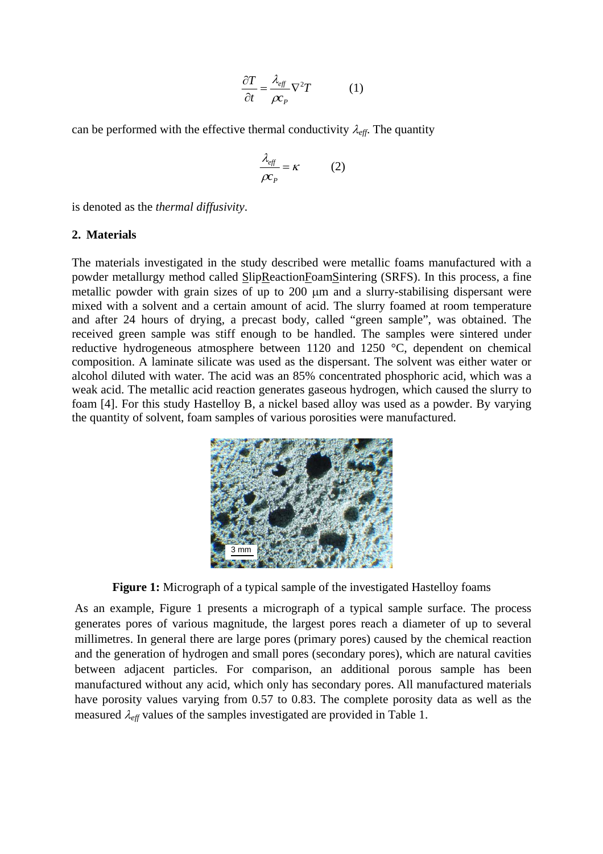$$
\frac{\partial T}{\partial t} = \frac{\lambda_{\text{eff}}}{\rho c_{P}} \nabla^{2} T \qquad (1)
$$

can be performed with the effective thermal conductivity  $\lambda_{\text{eff}}$ . The quantity

$$
\frac{\lambda_{\text{eff}}}{\rho c_p} = \kappa \tag{2}
$$

is denoted as the *thermal diffusivity*.

#### **2. Materials**

The materials investigated in the study described were metallic foams manufactured with a powder metallurgy method called SlipReactionFoamSintering (SRFS). In this process, a fine metallic powder with grain sizes of up to 200 μm and a slurry-stabilising dispersant were mixed with a solvent and a certain amount of acid. The slurry foamed at room temperature and after 24 hours of drying, a precast body, called "green sample", was obtained. The received green sample was stiff enough to be handled. The samples were sintered under reductive hydrogeneous atmosphere between 1120 and 1250 °C, dependent on chemical composition. A laminate silicate was used as the dispersant. The solvent was either water or alcohol diluted with water. The acid was an 85% concentrated phosphoric acid, which was a weak acid. The metallic acid reaction generates gaseous hydrogen, which caused the slurry to foam [4]. For this study Hastelloy B, a nickel based alloy was used as a powder. By varying the quantity of solvent, foam samples of various porosities were manufactured.



**Figure 1:** Micrograph of a typical sample of the investigated Hastelloy foams

As an example, Figure 1 presents a micrograph of a typical sample surface. The process generates pores of various magnitude, the largest pores reach a diameter of up to several millimetres. In general there are large pores (primary pores) caused by the chemical reaction and the generation of hydrogen and small pores (secondary pores), which are natural cavities between adjacent particles. For comparison, an additional porous sample has been manufactured without any acid, which only has secondary pores. All manufactured materials have porosity values varying from 0.57 to 0.83. The complete porosity data as well as the measured  $\lambda_{\text{eff}}$  values of the samples investigated are provided in Table 1.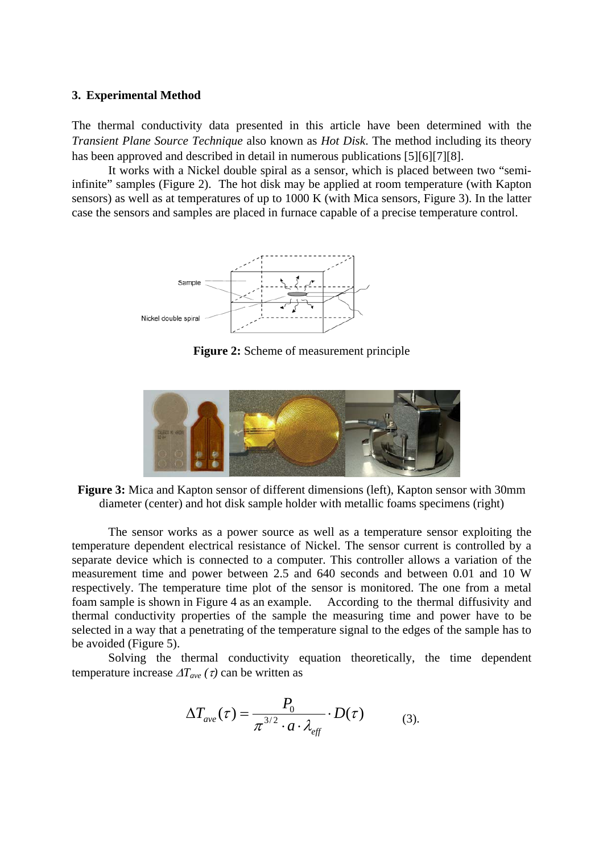#### **3. Experimental Method**

The thermal conductivity data presented in this article have been determined with the *Transient Plane Source Technique* also known as *Hot Disk*. The method including its theory has been approved and described in detail in numerous publications [5][6][7][8].

It works with a Nickel double spiral as a sensor, which is placed between two "semiinfinite" samples (Figure 2). The hot disk may be applied at room temperature (with Kapton sensors) as well as at temperatures of up to 1000 K (with Mica sensors, Figure 3). In the latter case the sensors and samples are placed in furnace capable of a precise temperature control.



**Figure 2:** Scheme of measurement principle



**Figure 3:** Mica and Kapton sensor of different dimensions (left), Kapton sensor with 30mm diameter (center) and hot disk sample holder with metallic foams specimens (right)

 The sensor works as a power source as well as a temperature sensor exploiting the temperature dependent electrical resistance of Nickel. The sensor current is controlled by a separate device which is connected to a computer. This controller allows a variation of the measurement time and power between 2.5 and 640 seconds and between 0.01 and 10 W respectively. The temperature time plot of the sensor is monitored. The one from a metal foam sample is shown in Figure 4 as an example. According to the thermal diffusivity and thermal conductivity properties of the sample the measuring time and power have to be selected in a way that a penetrating of the temperature signal to the edges of the sample has to be avoided (Figure 5).

Solving the thermal conductivity equation theoretically, the time dependent temperature increase  $\Delta T_{ave}(\tau)$  can be written as

$$
\Delta T_{ave}(\tau) = \frac{P_0}{\pi^{3/2} \cdot a \cdot \lambda_{\text{eff}}} \cdot D(\tau) \tag{3}
$$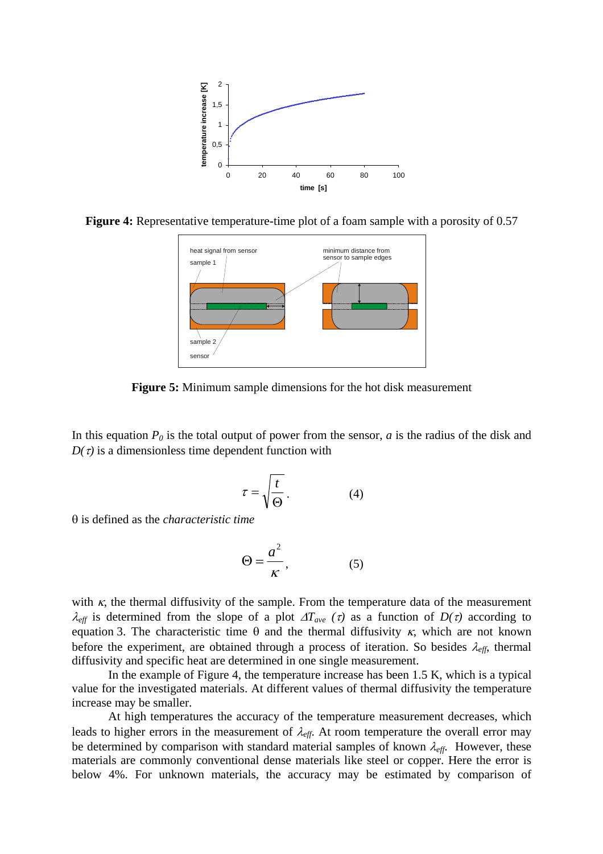

**Figure 4:** Representative temperature-time plot of a foam sample with a porosity of 0.57



**Figure 5:** Minimum sample dimensions for the hot disk measurement

In this equation  $P_0$  is the total output of power from the sensor, *a* is the radius of the disk and  $D(\tau)$  is a dimensionless time dependent function with

$$
\tau = \sqrt{\frac{t}{\Theta}}.
$$
 (4)

θ is defined as the *characteristic time* 

$$
\Theta = \frac{a^2}{K},\tag{5}
$$

with  $\kappa$ , the thermal diffusivity of the sample. From the temperature data of the measurement λ<sub>eff</sub> is determined from the slope of a plot  $\Delta T_{ave}$  (τ) as a function of  $D(τ)$  according to equation 3. The characteristic time θ and the thermal diffusivity  $κ$ , which are not known before the experiment, are obtained through a process of iteration. So besides  $\lambda_{\text{eff}}$ , thermal diffusivity and specific heat are determined in one single measurement.

In the example of Figure 4, the temperature increase has been 1.5 K, which is a typical value for the investigated materials. At different values of thermal diffusivity the temperature increase may be smaller.

At high temperatures the accuracy of the temperature measurement decreases, which leads to higher errors in the measurement of  $\lambda_{\text{eff}}$ . At room temperature the overall error may be determined by comparison with standard material samples of known  $\lambda_{\text{eff}}$ . However, these materials are commonly conventional dense materials like steel or copper. Here the error is below 4%. For unknown materials, the accuracy may be estimated by comparison of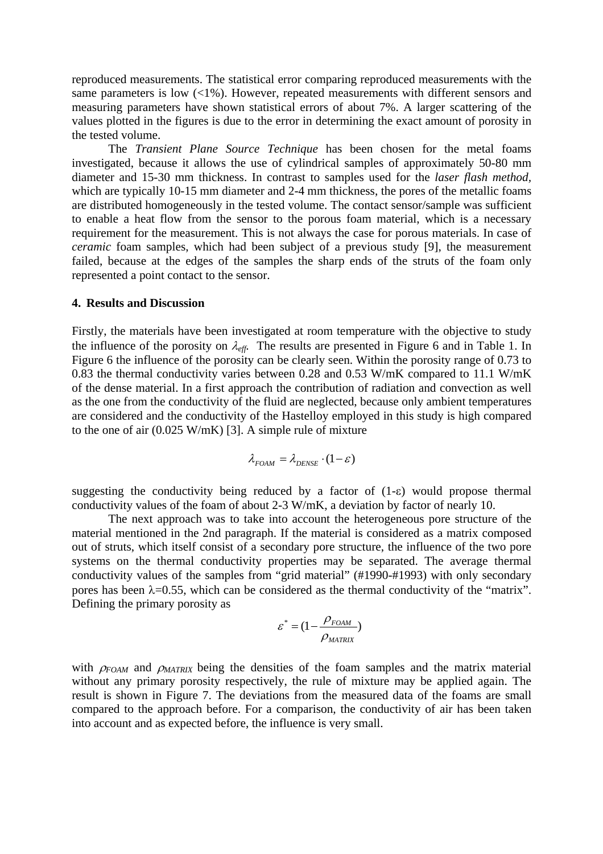reproduced measurements. The statistical error comparing reproduced measurements with the same parameters is low (<1%). However, repeated measurements with different sensors and measuring parameters have shown statistical errors of about 7%. A larger scattering of the values plotted in the figures is due to the error in determining the exact amount of porosity in the tested volume.

The *Transient Plane Source Technique* has been chosen for the metal foams investigated, because it allows the use of cylindrical samples of approximately 50-80 mm diameter and 15-30 mm thickness. In contrast to samples used for the *laser flash method,*  which are typically 10-15 mm diameter and 2-4 mm thickness, the pores of the metallic foams are distributed homogeneously in the tested volume. The contact sensor/sample was sufficient to enable a heat flow from the sensor to the porous foam material, which is a necessary requirement for the measurement. This is not always the case for porous materials. In case of *ceramic* foam samples, which had been subject of a previous study [9], the measurement failed, because at the edges of the samples the sharp ends of the struts of the foam only represented a point contact to the sensor.

#### **4. Results and Discussion**

Firstly, the materials have been investigated at room temperature with the objective to study the influence of the porosity on λ*eff.* The results are presented in Figure 6 and in Table 1. In Figure 6 the influence of the porosity can be clearly seen. Within the porosity range of 0.73 to 0.83 the thermal conductivity varies between 0.28 and 0.53 W/mK compared to 11.1 W/mK of the dense material. In a first approach the contribution of radiation and convection as well as the one from the conductivity of the fluid are neglected, because only ambient temperatures are considered and the conductivity of the Hastelloy employed in this study is high compared to the one of air (0.025 W/mK) [3]. A simple rule of mixture

$$
\lambda_{FOM} = \lambda_{DENSE} \cdot (1 - \varepsilon)
$$

suggesting the conductivity being reduced by a factor of  $(1-\varepsilon)$  would propose thermal conductivity values of the foam of about 2-3 W/mK, a deviation by factor of nearly 10.

The next approach was to take into account the heterogeneous pore structure of the material mentioned in the 2nd paragraph. If the material is considered as a matrix composed out of struts, which itself consist of a secondary pore structure, the influence of the two pore systems on the thermal conductivity properties may be separated. The average thermal conductivity values of the samples from "grid material" (#1990-#1993) with only secondary pores has been  $\lambda$ =0.55, which can be considered as the thermal conductivity of the "matrix". Defining the primary porosity as

$$
\varepsilon^* = (1 - \frac{\rho_{FOM}}{\rho_{MATRIX}})
$$

with  $\rho_{FOM}$  and  $\rho_{MATRIX}$  being the densities of the foam samples and the matrix material without any primary porosity respectively, the rule of mixture may be applied again. The result is shown in Figure 7. The deviations from the measured data of the foams are small compared to the approach before. For a comparison, the conductivity of air has been taken into account and as expected before, the influence is very small.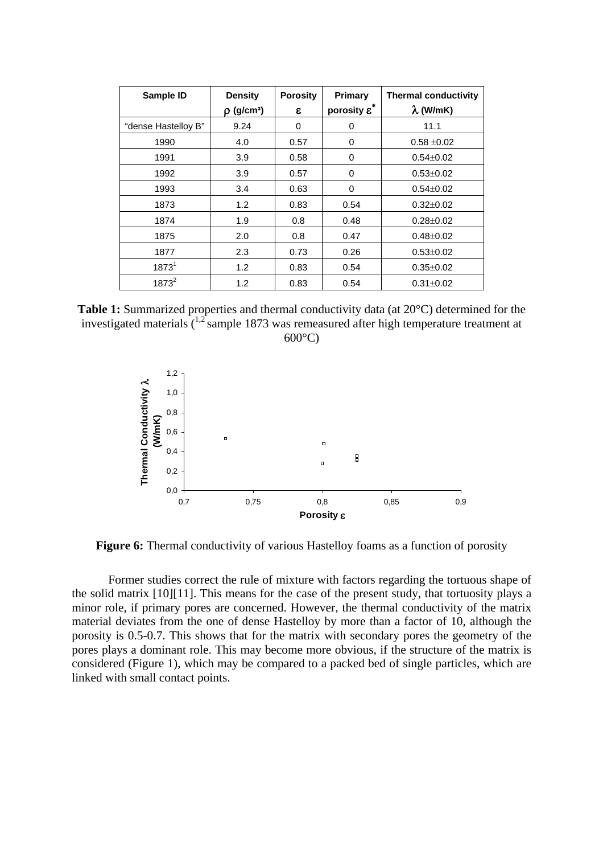| Sample ID           | <b>Density</b>              | <b>Porosity</b> | Primary               | <b>Thermal conductivity</b> |
|---------------------|-----------------------------|-----------------|-----------------------|-----------------------------|
|                     | $\rho$ (g/cm <sup>3</sup> ) | ε               | porosity $\epsilon^*$ | $\lambda$ (W/mK)            |
| "dense Hastelloy B" | 9.24                        | 0               | 0                     | 11.1                        |
| 1990                | 4.0                         | 0.57            | 0                     | $0.58 + 0.02$               |
| 1991                | 3.9                         | 0.58            | 0                     | $0.54 \pm 0.02$             |
| 1992                | 3.9                         | 0.57            | 0                     | $0.53 \pm 0.02$             |
| 1993                | 3.4                         | 0.63            | 0                     | $0.54 \pm 0.02$             |
| 1873                | 1.2                         | 0.83            | 0.54                  | $0.32 \pm 0.02$             |
| 1874                | 1.9                         | 0.8             | 0.48                  | $0.28 \pm 0.02$             |
| 1875                | 2.0                         | 0.8             | 0.47                  | $0.48 + 0.02$               |
| 1877                | 2.3                         | 0.73            | 0.26                  | $0.53 \pm 0.02$             |
| $1873^1$            | 1.2                         | 0.83            | 0.54                  | $0.35 \pm 0.02$             |
| $1873^2$            | 1.2                         | 0.83            | 0.54                  | $0.31 \pm 0.02$             |

**Table 1:** Summarized properties and thermal conductivity data (at 20°C) determined for the investigated materials  $(1.2^{\circ})$  sample 1873 was remeasured after high temperature treatment at  $600^{\circ}$ C)



**Figure 6:** Thermal conductivity of various Hastelloy foams as a function of porosity

 Former studies correct the rule of mixture with factors regarding the tortuous shape of the solid matrix [10][11]. This means for the case of the present study, that tortuosity plays a minor role, if primary pores are concerned. However, the thermal conductivity of the matrix material deviates from the one of dense Hastelloy by more than a factor of 10, although the porosity is 0.5-0.7. This shows that for the matrix with secondary pores the geometry of the pores plays a dominant role. This may become more obvious, if the structure of the matrix is considered (Figure 1), which may be compared to a packed bed of single particles, which are linked with small contact points.